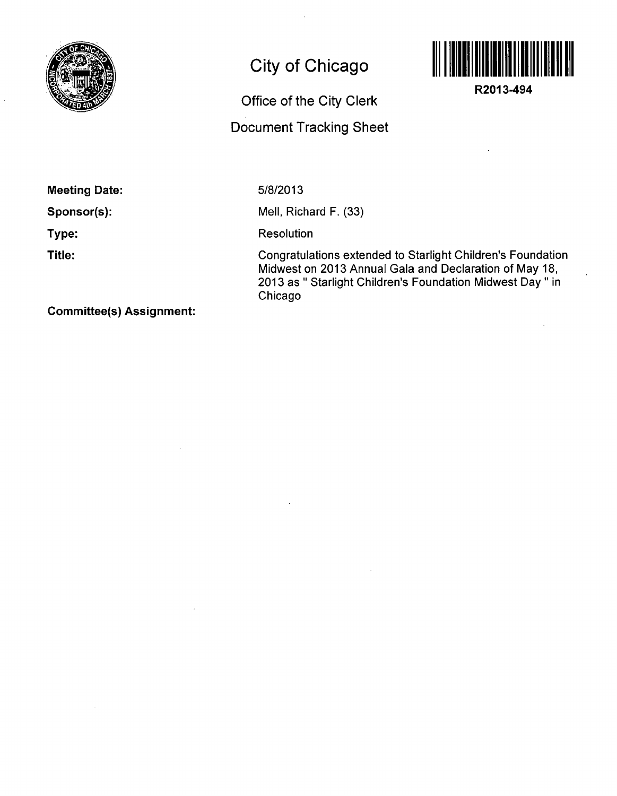

## **City of Chicago**

## Office of the City Clerk

## Document Tracking Sheet



**R2013-494** 

**Meeting Date:** 

**Sponsor(s):** 

**Type:** 

**Title:** 

5/8/2013

Mell, Richard F. (33)

Resolution

Congratulations extended to Starlight Children's Foundation Midwest on 2013 Annual Gala and Declaration of May 18, 2013 as " Starlight Children's Foundation Midwest Day " in Chicago

**Committee(s) Assignment:**